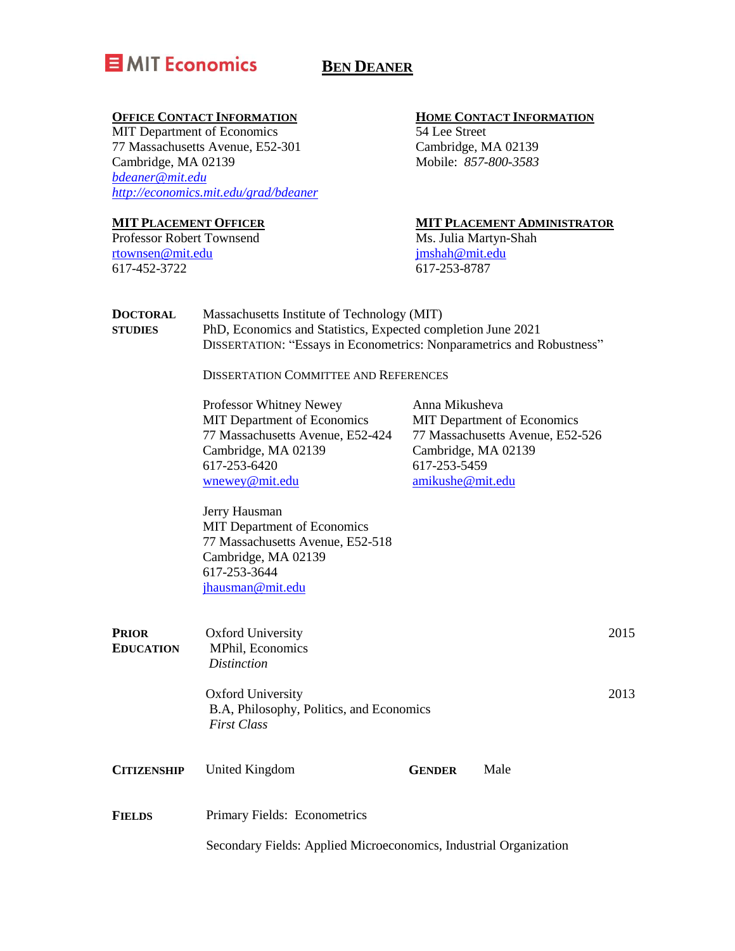

# **BEN DEANER**

### **OFFICE CONTACT INFORMATION**

MIT Department of Economics 77 Massachusetts Avenue, E52-301 Cambridge, MA 02139 *[bdeaner@mit.edu](mailto:bdeaner@mit.edu) <http://economics.mit.edu/grad/bdeaner>*

### **MIT PLACEMENT OFFICER**

Professor Robert Townsend [rtownsen@mit.edu](mailto:rtownsen@mit.edu) 617-452-3722

### **HOME CONTACT INFORMATION**

54 Lee Street Cambridge, MA 02139 Mobile: *857-800-3583*

### **MIT PLACEMENT ADMINISTRATOR**

Ms. Julia Martyn-Shah [jmshah@mit.edu](mailto:jmshah@mit.edu) 617-253-8787

| <b>DOCTORAL</b> | Massachusetts Institute of Technology (MIT)                                  |
|-----------------|------------------------------------------------------------------------------|
| <b>STUDIES</b>  | PhD, Economics and Statistics, Expected completion June 2021                 |
|                 | <b>DISSERTATION: "Essays in Econometrics: Nonparametrics and Robustness"</b> |

DISSERTATION COMMITTEE AND REFERENCES

| Professor Whitney Newey          | Anna Mikusheva                     |  |  |
|----------------------------------|------------------------------------|--|--|
| MIT Department of Economics      | <b>MIT</b> Department of Economics |  |  |
| 77 Massachusetts Avenue, E52-424 | 77 Massachusetts Avenue, E52-526   |  |  |
| Cambridge, MA 02139              | Cambridge, MA 02139                |  |  |
| 617-253-6420                     | 617-253-5459                       |  |  |
| wnewey@mit.edu                   | amikushe@mit.edu                   |  |  |

Jerry Hausman MIT Department of Economics 77 Massachusetts Avenue, E52-518 Cambridge, MA 02139 617-253-3644 [jhausman@mit.edu](mailto:jhausman@mit.edu)

| <b>PRIOR</b><br><b>EDUCATION</b> | Oxford University<br>MPhil, Economics<br><i>Distinction</i>                                |               |      | 2015 |
|----------------------------------|--------------------------------------------------------------------------------------------|---------------|------|------|
|                                  | <b>Oxford University</b><br>B.A, Philosophy, Politics, and Economics<br><b>First Class</b> |               |      |      |
| <b>CITIZENSHIP</b>               | United Kingdom                                                                             | <b>GENDER</b> | Male |      |
| <b>FIELDS</b>                    | Primary Fields: Econometrics                                                               |               |      |      |

Secondary Fields: Applied Microeconomics, Industrial Organization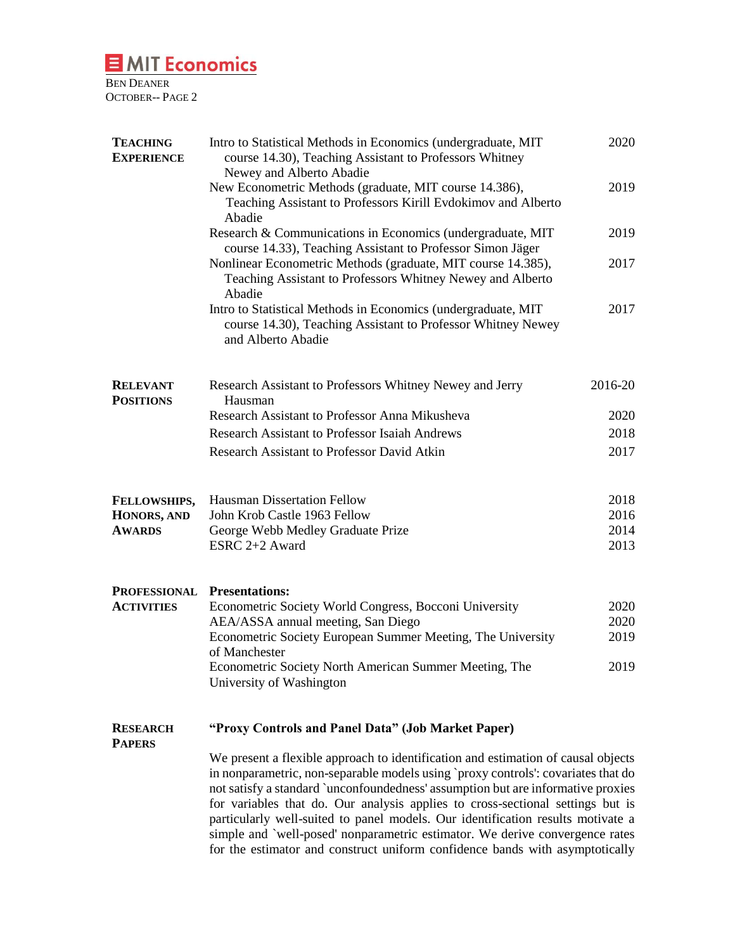l,

BEN DEANER OCTOBER-- PAGE 2

| <b>TEACHING</b><br><b>EXPERIENCE</b> | Intro to Statistical Methods in Economics (undergraduate, MIT)<br>course 14.30), Teaching Assistant to Professors Whitney<br>Newey and Alberto Abadie                                                                                                                                                                                                                                                                                                                                                                                                                                           | 2020         |  |
|--------------------------------------|-------------------------------------------------------------------------------------------------------------------------------------------------------------------------------------------------------------------------------------------------------------------------------------------------------------------------------------------------------------------------------------------------------------------------------------------------------------------------------------------------------------------------------------------------------------------------------------------------|--------------|--|
|                                      | New Econometric Methods (graduate, MIT course 14.386),<br>Teaching Assistant to Professors Kirill Evdokimov and Alberto<br>Abadie                                                                                                                                                                                                                                                                                                                                                                                                                                                               | 2019         |  |
|                                      | Research & Communications in Economics (undergraduate, MIT)<br>course 14.33), Teaching Assistant to Professor Simon Jäger                                                                                                                                                                                                                                                                                                                                                                                                                                                                       | 2019         |  |
|                                      | Nonlinear Econometric Methods (graduate, MIT course 14.385),<br>Teaching Assistant to Professors Whitney Newey and Alberto<br>Abadie                                                                                                                                                                                                                                                                                                                                                                                                                                                            | 2017         |  |
|                                      | Intro to Statistical Methods in Economics (undergraduate, MIT<br>course 14.30), Teaching Assistant to Professor Whitney Newey<br>and Alberto Abadie                                                                                                                                                                                                                                                                                                                                                                                                                                             | 2017         |  |
| <b>RELEVANT</b><br><b>POSITIONS</b>  | Research Assistant to Professors Whitney Newey and Jerry<br>Hausman                                                                                                                                                                                                                                                                                                                                                                                                                                                                                                                             | 2016-20      |  |
|                                      | Research Assistant to Professor Anna Mikusheva                                                                                                                                                                                                                                                                                                                                                                                                                                                                                                                                                  | 2020         |  |
|                                      | <b>Research Assistant to Professor Isaiah Andrews</b>                                                                                                                                                                                                                                                                                                                                                                                                                                                                                                                                           | 2018         |  |
|                                      | Research Assistant to Professor David Atkin                                                                                                                                                                                                                                                                                                                                                                                                                                                                                                                                                     | 2017         |  |
| FELLOWSHIPS,                         | <b>Hausman Dissertation Fellow</b>                                                                                                                                                                                                                                                                                                                                                                                                                                                                                                                                                              | 2018         |  |
| HONORS, AND                          | John Krob Castle 1963 Fellow                                                                                                                                                                                                                                                                                                                                                                                                                                                                                                                                                                    | 2016<br>2014 |  |
| <b>AWARDS</b>                        | George Webb Medley Graduate Prize<br>ESRC 2+2 Award                                                                                                                                                                                                                                                                                                                                                                                                                                                                                                                                             | 2013         |  |
| <b>PROFESSIONAL Presentations:</b>   |                                                                                                                                                                                                                                                                                                                                                                                                                                                                                                                                                                                                 |              |  |
| <b>ACTIVITIES</b>                    | Econometric Society World Congress, Bocconi University<br>AEA/ASSA annual meeting, San Diego                                                                                                                                                                                                                                                                                                                                                                                                                                                                                                    | 2020<br>2020 |  |
|                                      | Econometric Society European Summer Meeting, The University                                                                                                                                                                                                                                                                                                                                                                                                                                                                                                                                     | 2019         |  |
|                                      | of Manchester<br>Econometric Society North American Summer Meeting, The<br>University of Washington                                                                                                                                                                                                                                                                                                                                                                                                                                                                                             | 2019         |  |
| <b>RESEARCH</b><br><b>PAPERS</b>     | "Proxy Controls and Panel Data" (Job Market Paper)                                                                                                                                                                                                                                                                                                                                                                                                                                                                                                                                              |              |  |
|                                      | We present a flexible approach to identification and estimation of causal objects<br>in nonparametric, non-separable models using `proxy controls': covariates that do<br>not satisfy a standard `unconfoundedness' assumption but are informative proxies<br>for variables that do. Our analysis applies to cross-sectional settings but is<br>particularly well-suited to panel models. Our identification results motivate a<br>simple and `well-posed' nonparametric estimator. We derive convergence rates<br>for the estimator and construct uniform confidence bands with asymptotically |              |  |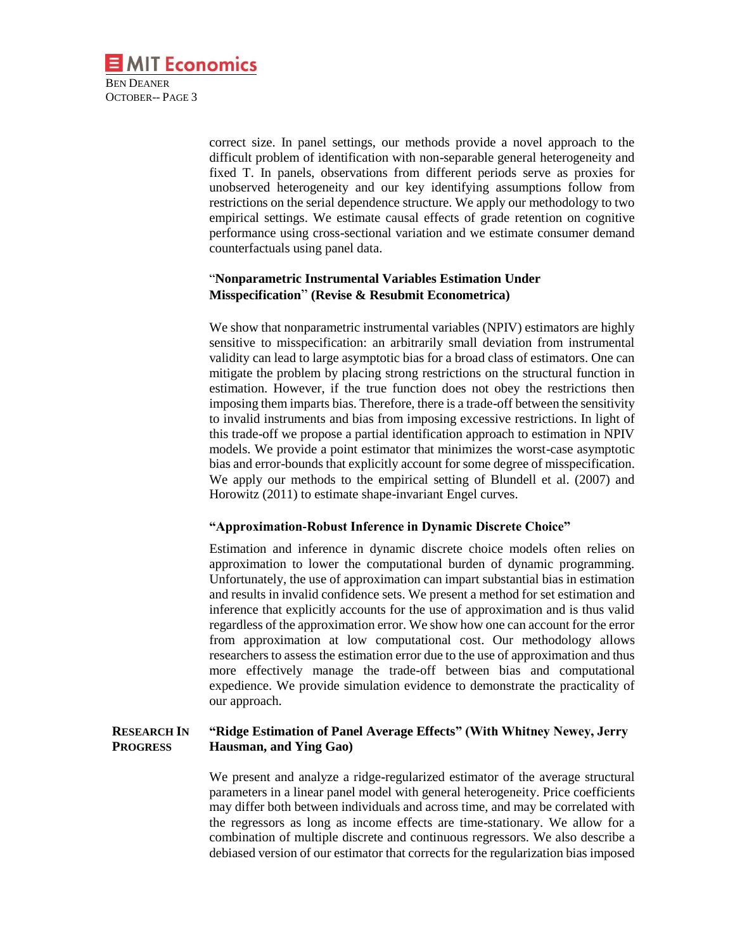correct size. In panel settings, our methods provide a novel approach to the difficult problem of identification with non-separable general heterogeneity and fixed T. In panels, observations from different periods serve as proxies for unobserved heterogeneity and our key identifying assumptions follow from restrictions on the serial dependence structure. We apply our methodology to two empirical settings. We estimate causal effects of grade retention on cognitive performance using cross-sectional variation and we estimate consumer demand counterfactuals using panel data.

## "**Nonparametric Instrumental Variables Estimation Under Misspecification**" **(Revise & Resubmit Econometrica)**

We show that nonparametric instrumental variables (NPIV) estimators are highly sensitive to misspecification: an arbitrarily small deviation from instrumental validity can lead to large asymptotic bias for a broad class of estimators. One can mitigate the problem by placing strong restrictions on the structural function in estimation. However, if the true function does not obey the restrictions then imposing them imparts bias. Therefore, there is a trade-off between the sensitivity to invalid instruments and bias from imposing excessive restrictions. In light of this trade-off we propose a partial identification approach to estimation in NPIV models. We provide a point estimator that minimizes the worst-case asymptotic bias and error-bounds that explicitly account for some degree of misspecification. We apply our methods to the empirical setting of Blundell et al. (2007) and Horowitz (2011) to estimate shape-invariant Engel curves.

### **"Approximation-Robust Inference in Dynamic Discrete Choice"**

Estimation and inference in dynamic discrete choice models often relies on approximation to lower the computational burden of dynamic programming. Unfortunately, the use of approximation can impart substantial bias in estimation and results in invalid confidence sets. We present a method for set estimation and inference that explicitly accounts for the use of approximation and is thus valid regardless of the approximation error. We show how one can account for the error from approximation at low computational cost. Our methodology allows researchers to assess the estimation error due to the use of approximation and thus more effectively manage the trade-off between bias and computational expedience. We provide simulation evidence to demonstrate the practicality of our approach.

### **RESEARCH IN PROGRESS "Ridge Estimation of Panel Average Effects" (With Whitney Newey, Jerry Hausman, and Ying Gao)**

We present and analyze a ridge-regularized estimator of the average structural parameters in a linear panel model with general heterogeneity. Price coefficients may differ both between individuals and across time, and may be correlated with the regressors as long as income effects are time-stationary. We allow for a combination of multiple discrete and continuous regressors. We also describe a debiased version of our estimator that corrects for the regularization bias imposed